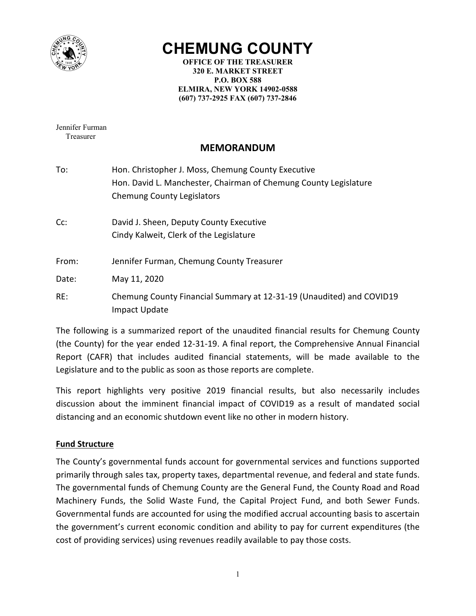

# **CHEMUNG COUNTY**

**OFFICE OF THE TREASURER 320 E. MARKET STREET P.O. BOX 588 ELMIRA, NEW YORK 14902-0588 (607) 737-2925 FAX (607) 737-2846** 

Jennifer Furman Treasurer

# **MEMORANDUM**

- To: Hon. Christopher J. Moss, Chemung County Executive Hon. David L. Manchester, Chairman of Chemung County Legislature Chemung County Legislators
- Cc: David J. Sheen, Deputy County Executive Cindy Kalweit, Clerk of the Legislature
- From: Jennifer Furman, Chemung County Treasurer

Date: May 11, 2020

RE: Chemung County Financial Summary at 12-31-19 (Unaudited) and COVID19 Impact Update

The following is a summarized report of the unaudited financial results for Chemung County (the County) for the year ended 12-31-19. A final report, the Comprehensive Annual Financial Report (CAFR) that includes audited financial statements, will be made available to the Legislature and to the public as soon as those reports are complete.

This report highlights very positive 2019 financial results, but also necessarily includes discussion about the imminent financial impact of COVID19 as a result of mandated social distancing and an economic shutdown event like no other in modern history.

#### **Fund Structure**

The County's governmental funds account for governmental services and functions supported primarily through sales tax, property taxes, departmental revenue, and federal and state funds. The governmental funds of Chemung County are the General Fund, the County Road and Road Machinery Funds, the Solid Waste Fund, the Capital Project Fund, and both Sewer Funds. Governmental funds are accounted for using the modified accrual accounting basis to ascertain the government's current economic condition and ability to pay for current expenditures (the cost of providing services) using revenues readily available to pay those costs.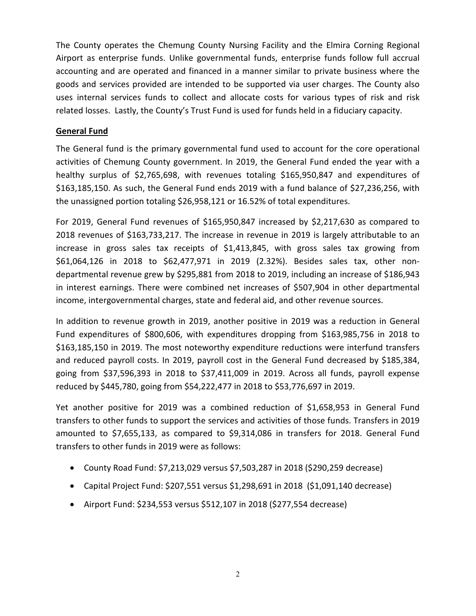The County operates the Chemung County Nursing Facility and the Elmira Corning Regional Airport as enterprise funds. Unlike governmental funds, enterprise funds follow full accrual accounting and are operated and financed in a manner similar to private business where the goods and services provided are intended to be supported via user charges. The County also uses internal services funds to collect and allocate costs for various types of risk and risk related losses. Lastly, the County's Trust Fund is used for funds held in a fiduciary capacity.

### **General Fund**

The General fund is the primary governmental fund used to account for the core operational activities of Chemung County government. In 2019, the General Fund ended the year with a healthy surplus of \$2,765,698, with revenues totaling \$165,950,847 and expenditures of \$163,185,150. As such, the General Fund ends 2019 with a fund balance of \$27,236,256, with the unassigned portion totaling \$26,958,121 or 16.52% of total expenditures.

For 2019, General Fund revenues of \$165,950,847 increased by \$2,217,630 as compared to 2018 revenues of \$163,733,217. The increase in revenue in 2019 is largely attributable to an increase in gross sales tax receipts of \$1,413,845, with gross sales tax growing from \$61,064,126 in 2018 to \$62,477,971 in 2019 (2.32%). Besides sales tax, other nondepartmental revenue grew by \$295,881 from 2018 to 2019, including an increase of \$186,943 in interest earnings. There were combined net increases of \$507,904 in other departmental income, intergovernmental charges, state and federal aid, and other revenue sources.

In addition to revenue growth in 2019, another positive in 2019 was a reduction in General Fund expenditures of \$800,606, with expenditures dropping from \$163,985,756 in 2018 to \$163,185,150 in 2019. The most noteworthy expenditure reductions were interfund transfers and reduced payroll costs. In 2019, payroll cost in the General Fund decreased by \$185,384, going from \$37,596,393 in 2018 to \$37,411,009 in 2019. Across all funds, payroll expense reduced by \$445,780, going from \$54,222,477 in 2018 to \$53,776,697 in 2019.

Yet another positive for 2019 was a combined reduction of \$1,658,953 in General Fund transfers to other funds to support the services and activities of those funds. Transfers in 2019 amounted to \$7,655,133, as compared to \$9,314,086 in transfers for 2018. General Fund transfers to other funds in 2019 were as follows:

- County Road Fund: \$7,213,029 versus \$7,503,287 in 2018 (\$290,259 decrease)
- Capital Project Fund: \$207,551 versus \$1,298,691 in 2018 (\$1,091,140 decrease)
- Airport Fund: \$234,553 versus \$512,107 in 2018 (\$277,554 decrease)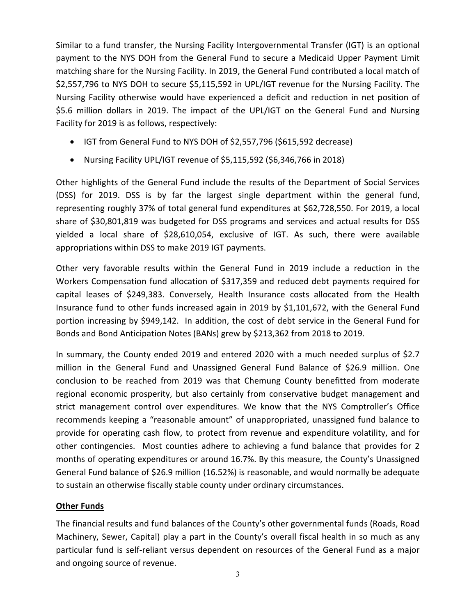Similar to a fund transfer, the Nursing Facility Intergovernmental Transfer (IGT) is an optional payment to the NYS DOH from the General Fund to secure a Medicaid Upper Payment Limit matching share for the Nursing Facility. In 2019, the General Fund contributed a local match of \$2,557,796 to NYS DOH to secure \$5,115,592 in UPL/IGT revenue for the Nursing Facility. The Nursing Facility otherwise would have experienced a deficit and reduction in net position of \$5.6 million dollars in 2019. The impact of the UPL/IGT on the General Fund and Nursing Facility for 2019 is as follows, respectively:

- IGT from General Fund to NYS DOH of \$2,557,796 (\$615,592 decrease)
- Nursing Facility UPL/IGT revenue of \$5,115,592 (\$6,346,766 in 2018)

Other highlights of the General Fund include the results of the Department of Social Services (DSS) for 2019. DSS is by far the largest single department within the general fund, representing roughly 37% of total general fund expenditures at \$62,728,550. For 2019, a local share of \$30,801,819 was budgeted for DSS programs and services and actual results for DSS yielded a local share of \$28,610,054, exclusive of IGT. As such, there were available appropriations within DSS to make 2019 IGT payments.

Other very favorable results within the General Fund in 2019 include a reduction in the Workers Compensation fund allocation of \$317,359 and reduced debt payments required for capital leases of \$249,383. Conversely, Health Insurance costs allocated from the Health Insurance fund to other funds increased again in 2019 by \$1,101,672, with the General Fund portion increasing by \$949,142. In addition, the cost of debt service in the General Fund for Bonds and Bond Anticipation Notes (BANs) grew by \$213,362 from 2018 to 2019.

In summary, the County ended 2019 and entered 2020 with a much needed surplus of \$2.7 million in the General Fund and Unassigned General Fund Balance of \$26.9 million. One conclusion to be reached from 2019 was that Chemung County benefitted from moderate regional economic prosperity, but also certainly from conservative budget management and strict management control over expenditures. We know that the NYS Comptroller's Office recommends keeping a "reasonable amount" of unappropriated, unassigned fund balance to provide for operating cash flow, to protect from revenue and expenditure volatility, and for other contingencies. Most counties adhere to achieving a fund balance that provides for 2 months of operating expenditures or around 16.7%. By this measure, the County's Unassigned General Fund balance of \$26.9 million (16.52%) is reasonable, and would normally be adequate to sustain an otherwise fiscally stable county under ordinary circumstances.

## **Other Funds**

The financial results and fund balances of the County's other governmental funds (Roads, Road Machinery, Sewer, Capital) play a part in the County's overall fiscal health in so much as any particular fund is self-reliant versus dependent on resources of the General Fund as a major and ongoing source of revenue.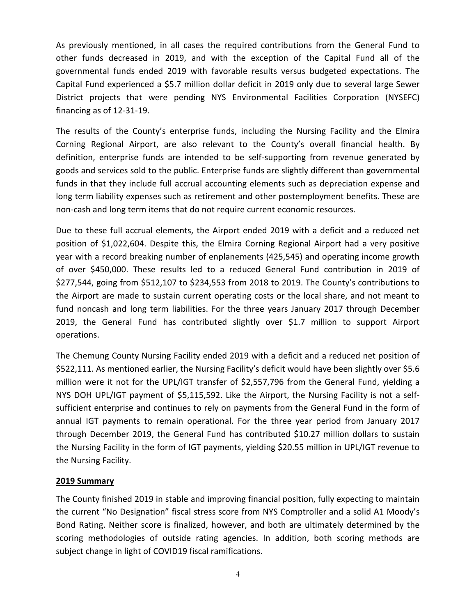As previously mentioned, in all cases the required contributions from the General Fund to other funds decreased in 2019, and with the exception of the Capital Fund all of the governmental funds ended 2019 with favorable results versus budgeted expectations. The Capital Fund experienced a \$5.7 million dollar deficit in 2019 only due to several large Sewer District projects that were pending NYS Environmental Facilities Corporation (NYSEFC) financing as of 12-31-19.

The results of the County's enterprise funds, including the Nursing Facility and the Elmira Corning Regional Airport, are also relevant to the County's overall financial health. By definition, enterprise funds are intended to be self-supporting from revenue generated by goods and services sold to the public. Enterprise funds are slightly different than governmental funds in that they include full accrual accounting elements such as depreciation expense and long term liability expenses such as retirement and other postemployment benefits. These are non-cash and long term items that do not require current economic resources.

Due to these full accrual elements, the Airport ended 2019 with a deficit and a reduced net position of \$1,022,604. Despite this, the Elmira Corning Regional Airport had a very positive year with a record breaking number of enplanements (425,545) and operating income growth of over \$450,000. These results led to a reduced General Fund contribution in 2019 of \$277,544, going from \$512,107 to \$234,553 from 2018 to 2019. The County's contributions to the Airport are made to sustain current operating costs or the local share, and not meant to fund noncash and long term liabilities. For the three years January 2017 through December 2019, the General Fund has contributed slightly over \$1.7 million to support Airport operations.

The Chemung County Nursing Facility ended 2019 with a deficit and a reduced net position of \$522,111. As mentioned earlier, the Nursing Facility's deficit would have been slightly over \$5.6 million were it not for the UPL/IGT transfer of \$2,557,796 from the General Fund, yielding a NYS DOH UPL/IGT payment of \$5,115,592. Like the Airport, the Nursing Facility is not a selfsufficient enterprise and continues to rely on payments from the General Fund in the form of annual IGT payments to remain operational. For the three year period from January 2017 through December 2019, the General Fund has contributed \$10.27 million dollars to sustain the Nursing Facility in the form of IGT payments, yielding \$20.55 million in UPL/IGT revenue to the Nursing Facility.

#### **2019 Summary**

The County finished 2019 in stable and improving financial position, fully expecting to maintain the current "No Designation" fiscal stress score from NYS Comptroller and a solid A1 Moody's Bond Rating. Neither score is finalized, however, and both are ultimately determined by the scoring methodologies of outside rating agencies. In addition, both scoring methods are subject change in light of COVID19 fiscal ramifications.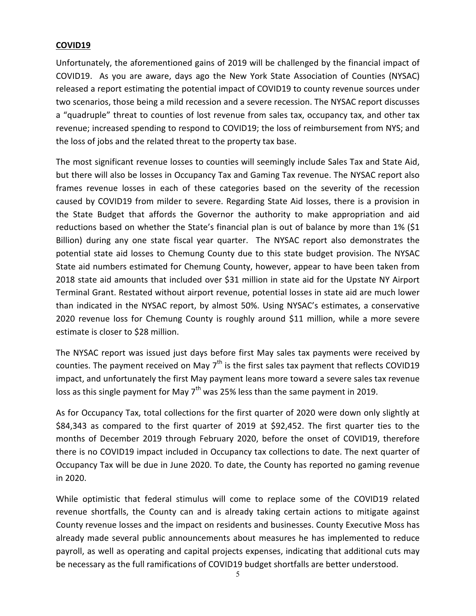### **COVID19**

Unfortunately, the aforementioned gains of 2019 will be challenged by the financial impact of COVID19. As you are aware, days ago the New York State Association of Counties (NYSAC) released a report estimating the potential impact of COVID19 to county revenue sources under two scenarios, those being a mild recession and a severe recession. The NYSAC report discusses a "quadruple" threat to counties of lost revenue from sales tax, occupancy tax, and other tax revenue; increased spending to respond to COVID19; the loss of reimbursement from NYS; and the loss of jobs and the related threat to the property tax base.

The most significant revenue losses to counties will seemingly include Sales Tax and State Aid, but there will also be losses in Occupancy Tax and Gaming Tax revenue. The NYSAC report also frames revenue losses in each of these categories based on the severity of the recession caused by COVID19 from milder to severe. Regarding State Aid losses, there is a provision in the State Budget that affords the Governor the authority to make appropriation and aid reductions based on whether the State's financial plan is out of balance by more than 1% (\$1 Billion) during any one state fiscal year quarter. The NYSAC report also demonstrates the potential state aid losses to Chemung County due to this state budget provision. The NYSAC State aid numbers estimated for Chemung County, however, appear to have been taken from 2018 state aid amounts that included over \$31 million in state aid for the Upstate NY Airport Terminal Grant. Restated without airport revenue, potential losses in state aid are much lower than indicated in the NYSAC report, by almost 50%. Using NYSAC's estimates, a conservative 2020 revenue loss for Chemung County is roughly around \$11 million, while a more severe estimate is closer to \$28 million.

The NYSAC report was issued just days before first May sales tax payments were received by counties. The payment received on May  $7<sup>th</sup>$  is the first sales tax payment that reflects COVID19 impact, and unfortunately the first May payment leans more toward a severe sales tax revenue loss as this single payment for May  $7<sup>th</sup>$  was 25% less than the same payment in 2019.

As for Occupancy Tax, total collections for the first quarter of 2020 were down only slightly at \$84,343 as compared to the first quarter of 2019 at \$92,452. The first quarter ties to the months of December 2019 through February 2020, before the onset of COVID19, therefore there is no COVID19 impact included in Occupancy tax collections to date. The next quarter of Occupancy Tax will be due in June 2020. To date, the County has reported no gaming revenue in 2020.

While optimistic that federal stimulus will come to replace some of the COVID19 related revenue shortfalls, the County can and is already taking certain actions to mitigate against County revenue losses and the impact on residents and businesses. County Executive Moss has already made several public announcements about measures he has implemented to reduce payroll, as well as operating and capital projects expenses, indicating that additional cuts may be necessary as the full ramifications of COVID19 budget shortfalls are better understood.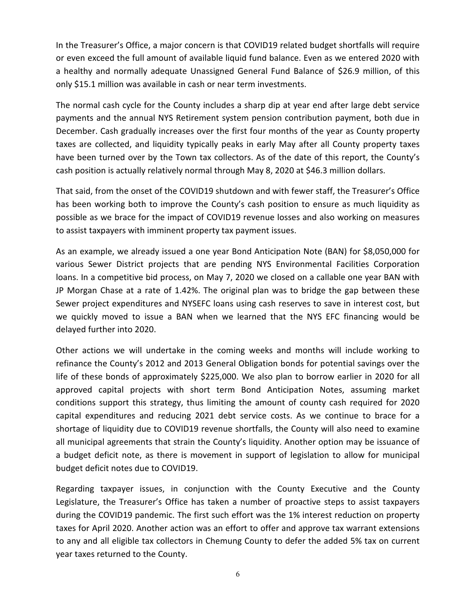In the Treasurer's Office, a major concern is that COVID19 related budget shortfalls will require or even exceed the full amount of available liquid fund balance. Even as we entered 2020 with a healthy and normally adequate Unassigned General Fund Balance of \$26.9 million, of this only \$15.1 million was available in cash or near term investments.

The normal cash cycle for the County includes a sharp dip at year end after large debt service payments and the annual NYS Retirement system pension contribution payment, both due in December. Cash gradually increases over the first four months of the year as County property taxes are collected, and liquidity typically peaks in early May after all County property taxes have been turned over by the Town tax collectors. As of the date of this report, the County's cash position is actually relatively normal through May 8, 2020 at \$46.3 million dollars.

That said, from the onset of the COVID19 shutdown and with fewer staff, the Treasurer's Office has been working both to improve the County's cash position to ensure as much liquidity as possible as we brace for the impact of COVID19 revenue losses and also working on measures to assist taxpayers with imminent property tax payment issues.

As an example, we already issued a one year Bond Anticipation Note (BAN) for \$8,050,000 for various Sewer District projects that are pending NYS Environmental Facilities Corporation loans. In a competitive bid process, on May 7, 2020 we closed on a callable one year BAN with JP Morgan Chase at a rate of 1.42%. The original plan was to bridge the gap between these Sewer project expenditures and NYSEFC loans using cash reserves to save in interest cost, but we quickly moved to issue a BAN when we learned that the NYS EFC financing would be delayed further into 2020.

Other actions we will undertake in the coming weeks and months will include working to refinance the County's 2012 and 2013 General Obligation bonds for potential savings over the life of these bonds of approximately \$225,000. We also plan to borrow earlier in 2020 for all approved capital projects with short term Bond Anticipation Notes, assuming market conditions support this strategy, thus limiting the amount of county cash required for 2020 capital expenditures and reducing 2021 debt service costs. As we continue to brace for a shortage of liquidity due to COVID19 revenue shortfalls, the County will also need to examine all municipal agreements that strain the County's liquidity. Another option may be issuance of a budget deficit note, as there is movement in support of legislation to allow for municipal budget deficit notes due to COVID19.

Regarding taxpayer issues, in conjunction with the County Executive and the County Legislature, the Treasurer's Office has taken a number of proactive steps to assist taxpayers during the COVID19 pandemic. The first such effort was the 1% interest reduction on property taxes for April 2020. Another action was an effort to offer and approve tax warrant extensions to any and all eligible tax collectors in Chemung County to defer the added 5% tax on current year taxes returned to the County.